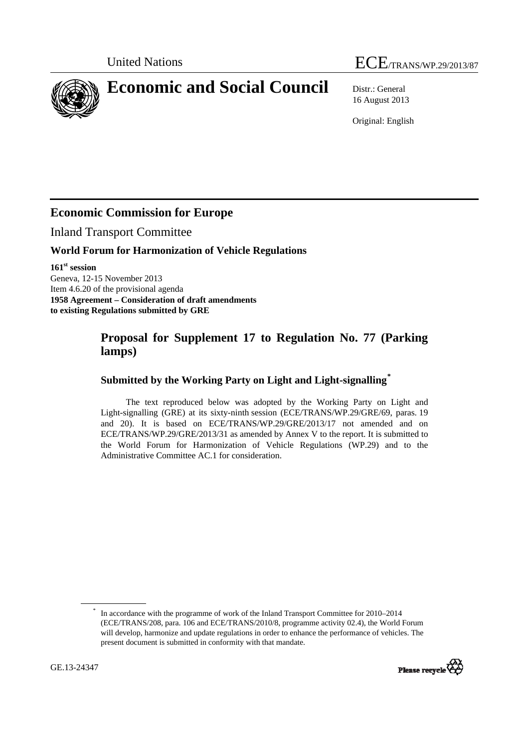# United Nations ECE/TRANS/WP.29/2013/87

<span id="page-0-0"></span>**Economic and Social Council** Distr.: General

16 August 2013

Original: English

# **Economic Commission for Europe**

Inland Transport Committee

### **World Forum for Harmonization of Vehicle Regulations**

**161st session**  Geneva, 12-15 November 2013 Item 4.6.20 of the provisional agenda **1958 Agreement – Consideration of draft amendments to existing Regulations submitted by GRE** 

# **Proposal for Supplement 17 to Regulation No. 77 (Parking lamps)**

## **Submitted by the Working Party on Light and Light-signalling[\\*](#page-0-0)**

The text reproduced below was adopted by the Working Party on Light and Light-signalling (GRE) at its sixty-ninth session (ECE/TRANS/WP.29/GRE/69, paras. 19 and 20). It is based on ECE/TRANS/WP.29/GRE/2013/17 not amended and on ECE/TRANS/WP.29/GRE/2013/31 as amended by Annex V to the report. It is submitted to the World Forum for Harmonization of Vehicle Regulations (WP.29) and to the Administrative Committee AC.1 for consideration.

<sup>\*</sup> In accordance with the programme of work of the Inland Transport Committee for 2010–2014 (ECE/TRANS/208, para. 106 and ECE/TRANS/2010/8, programme activity 02.4), the World Forum will develop, harmonize and update regulations in order to enhance the performance of vehicles. The present document is submitted in conformity with that mandate.

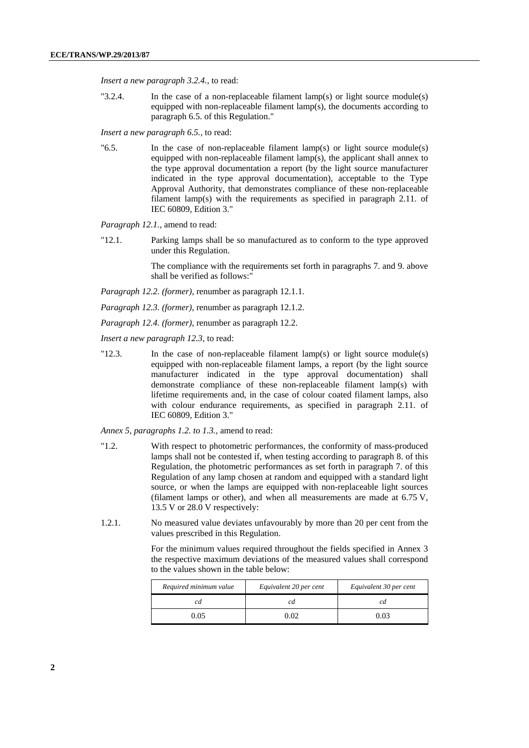*Insert a new paragraph 3.2.4.*, to read:

"3.2.4. In the case of a non-replaceable filament lamp(s) or light source module(s) equipped with non-replaceable filament lamp(s), the documents according to paragraph 6.5. of this Regulation."

*Insert a new paragraph 6.5.,* to read:

" $6.5$ . In the case of non-replaceable filament lamp(s) or light source module(s) equipped with non-replaceable filament lamp(s), the applicant shall annex to the type approval documentation a report (by the light source manufacturer indicated in the type approval documentation), acceptable to the Type Approval Authority, that demonstrates compliance of these non-replaceable filament lamp(s) with the requirements as specified in paragraph 2.11. of IEC 60809, Edition 3."

*Paragraph 12.1.,* amend to read:

"12.1. Parking lamps shall be so manufactured as to conform to the type approved under this Regulation.

> The compliance with the requirements set forth in paragraphs 7. and 9. above shall be verified as follows:"

*Paragraph 12.2. (former)*, renumber as paragraph 12.1.1.

*Paragraph 12.3. (former)*, renumber as paragraph 12.1.2.

*Paragraph 12.4. (former)*, renumber as paragraph 12.2.

*Insert a new paragraph 12.3,* to read:

"12.3. In the case of non-replaceable filament lamp(s) or light source module(s) equipped with non-replaceable filament lamps, a report (by the light source manufacturer indicated in the type approval documentation) shall demonstrate compliance of these non-replaceable filament lamp(s) with lifetime requirements and, in the case of colour coated filament lamps, also with colour endurance requirements, as specified in paragraph 2.11. of IEC 60809, Edition 3."

*Annex 5, paragraphs 1.2. to 1.3.,* amend to read:

- "1.2. With respect to photometric performances, the conformity of mass-produced lamps shall not be contested if, when testing according to paragraph 8. of this Regulation, the photometric performances as set forth in paragraph 7. of this Regulation of any lamp chosen at random and equipped with a standard light source, or when the lamps are equipped with non-replaceable light sources (filament lamps or other), and when all measurements are made at 6.75 V, 13.5 V or 28.0 V respectively:
- 1.2.1. No measured value deviates unfavourably by more than 20 per cent from the values prescribed in this Regulation.

For the minimum values required throughout the fields specified in Annex 3 the respective maximum deviations of the measured values shall correspond to the values shown in the table below:

| Required minimum value | Equivalent 20 per cent | Equivalent 30 per cent |
|------------------------|------------------------|------------------------|
|                        |                        |                        |
| .05                    | ന                      | 0٦ (                   |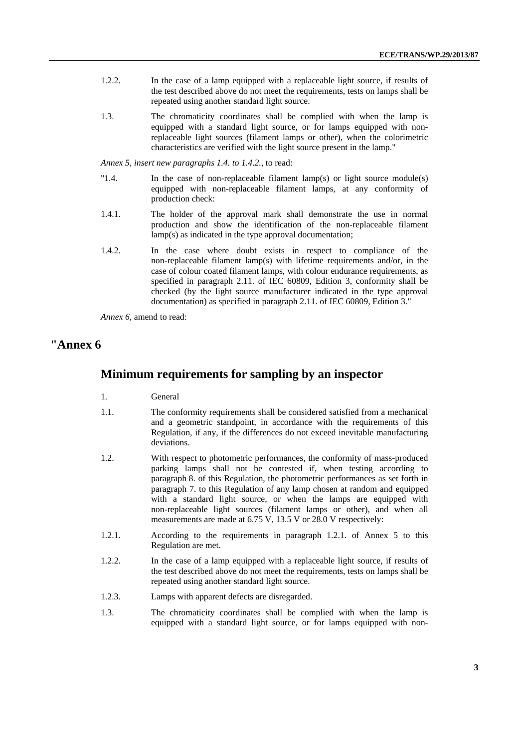- 1.2.2. In the case of a lamp equipped with a replaceable light source, if results of the test described above do not meet the requirements, tests on lamps shall be repeated using another standard light source.
- 1.3. The chromaticity coordinates shall be complied with when the lamp is equipped with a standard light source, or for lamps equipped with nonreplaceable light sources (filament lamps or other), when the colorimetric characteristics are verified with the light source present in the lamp."

*Annex 5, insert new paragraphs 1.4. to 1.4.2.*, to read:

- "1.4. In the case of non-replaceable filament lamp(s) or light source module(s) equipped with non-replaceable filament lamps, at any conformity of production check:
- 1.4.1. The holder of the approval mark shall demonstrate the use in normal production and show the identification of the non-replaceable filament lamp(s) as indicated in the type approval documentation;
- 1.4.2. In the case where doubt exists in respect to compliance of the non-replaceable filament lamp(s) with lifetime requirements and/or, in the case of colour coated filament lamps, with colour endurance requirements, as specified in paragraph 2.11. of IEC 60809, Edition 3, conformity shall be checked (by the light source manufacturer indicated in the type approval documentation) as specified in paragraph 2.11. of IEC 60809, Edition 3."

*Annex 6,* amend to read:

### **"Annex 6**

#### **Minimum requirements for sampling by an inspector**

- 1. General
- 1.1. The conformity requirements shall be considered satisfied from a mechanical and a geometric standpoint, in accordance with the requirements of this Regulation, if any, if the differences do not exceed inevitable manufacturing deviations.
- 1.2. With respect to photometric performances, the conformity of mass-produced parking lamps shall not be contested if, when testing according to paragraph 8. of this Regulation, the photometric performances as set forth in paragraph 7. to this Regulation of any lamp chosen at random and equipped with a standard light source, or when the lamps are equipped with non-replaceable light sources (filament lamps or other), and when all measurements are made at 6.75 V, 13.5 V or 28.0 V respectively:
- 1.2.1. According to the requirements in paragraph 1.2.1. of Annex 5 to this Regulation are met.
- 1.2.2. In the case of a lamp equipped with a replaceable light source, if results of the test described above do not meet the requirements, tests on lamps shall be repeated using another standard light source.
- 1.2.3. Lamps with apparent defects are disregarded.
- 1.3. The chromaticity coordinates shall be complied with when the lamp is equipped with a standard light source, or for lamps equipped with non-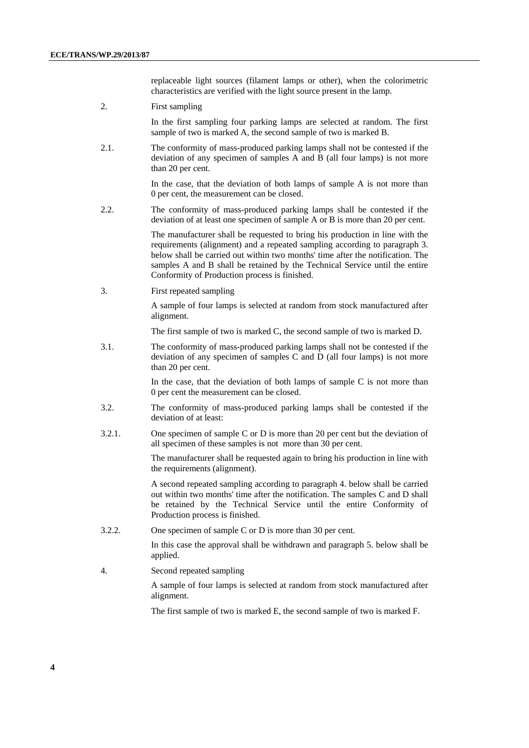replaceable light sources (filament lamps or other), when the colorimetric characteristics are verified with the light source present in the lamp.

2. First sampling

In the first sampling four parking lamps are selected at random. The first sample of two is marked A, the second sample of two is marked B.

2.1. The conformity of mass-produced parking lamps shall not be contested if the deviation of any specimen of samples A and B (all four lamps) is not more than 20 per cent.

> In the case, that the deviation of both lamps of sample A is not more than 0 per cent, the measurement can be closed.

2.2. The conformity of mass-produced parking lamps shall be contested if the deviation of at least one specimen of sample A or B is more than 20 per cent.

> The manufacturer shall be requested to bring his production in line with the requirements (alignment) and a repeated sampling according to paragraph 3. below shall be carried out within two months' time after the notification. The samples A and B shall be retained by the Technical Service until the entire Conformity of Production process is finished.

3. First repeated sampling

A sample of four lamps is selected at random from stock manufactured after alignment.

The first sample of two is marked C, the second sample of two is marked D.

3.1. The conformity of mass-produced parking lamps shall not be contested if the deviation of any specimen of samples C and D (all four lamps) is not more than 20 per cent.

> In the case, that the deviation of both lamps of sample  $C$  is not more than 0 per cent the measurement can be closed.

- 3.2. The conformity of mass-produced parking lamps shall be contested if the deviation of at least:
- 3.2.1. One specimen of sample C or D is more than 20 per cent but the deviation of all specimen of these samples is not more than 30 per cent.

The manufacturer shall be requested again to bring his production in line with the requirements (alignment).

A second repeated sampling according to paragraph 4. below shall be carried out within two months' time after the notification. The samples C and D shall be retained by the Technical Service until the entire Conformity of Production process is finished.

3.2.2. One specimen of sample C or D is more than 30 per cent.

In this case the approval shall be withdrawn and paragraph 5. below shall be applied.

4. Second repeated sampling

A sample of four lamps is selected at random from stock manufactured after alignment.

The first sample of two is marked E, the second sample of two is marked F.